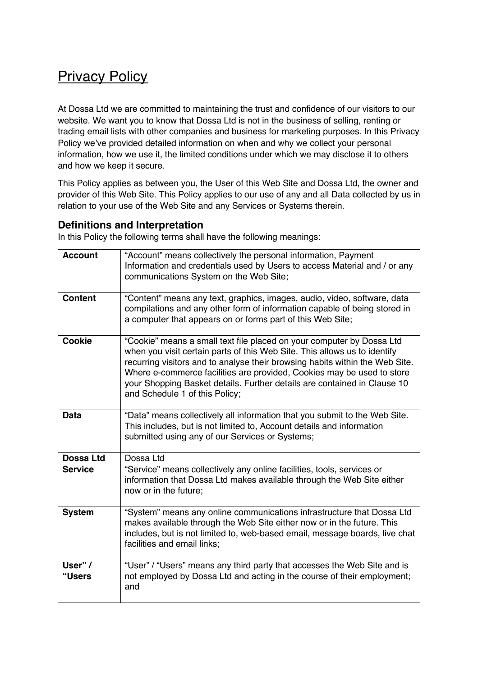# **Privacy Policy**

At Dossa Ltd we are committed to maintaining the trust and confidence of our visitors to our website. We want you to know that Dossa Ltd is not in the business of selling, renting or trading email lists with other companies and business for marketing purposes. In this Privacy Policy we've provided detailed information on when and why we collect your personal information, how we use it, the limited conditions under which we may disclose it to others and how we keep it secure.

This Policy applies as between you, the User of this Web Site and Dossa Ltd, the owner and provider of this Web Site. This Policy applies to our use of any and all Data collected by us in relation to your use of the Web Site and any Services or Systems therein.

#### **Definitions and Interpretation**

In this Policy the following terms shall have the following meanings:

| <b>Account</b>    | "Account" means collectively the personal information, Payment<br>Information and credentials used by Users to access Material and / or any<br>communications System on the Web Site;                                                                                                                                                                                                                                      |  |  |
|-------------------|----------------------------------------------------------------------------------------------------------------------------------------------------------------------------------------------------------------------------------------------------------------------------------------------------------------------------------------------------------------------------------------------------------------------------|--|--|
| <b>Content</b>    | "Content" means any text, graphics, images, audio, video, software, data<br>compilations and any other form of information capable of being stored in<br>a computer that appears on or forms part of this Web Site;                                                                                                                                                                                                        |  |  |
| <b>Cookie</b>     | "Cookie" means a small text file placed on your computer by Dossa Ltd<br>when you visit certain parts of this Web Site. This allows us to identify<br>recurring visitors and to analyse their browsing habits within the Web Site.<br>Where e-commerce facilities are provided, Cookies may be used to store<br>your Shopping Basket details. Further details are contained in Clause 10<br>and Schedule 1 of this Policy; |  |  |
| <b>Data</b>       | "Data" means collectively all information that you submit to the Web Site.<br>This includes, but is not limited to, Account details and information<br>submitted using any of our Services or Systems;                                                                                                                                                                                                                     |  |  |
| <b>Dossa Ltd</b>  | Dossa Ltd                                                                                                                                                                                                                                                                                                                                                                                                                  |  |  |
| <b>Service</b>    | "Service" means collectively any online facilities, tools, services or<br>information that Dossa Ltd makes available through the Web Site either<br>now or in the future;                                                                                                                                                                                                                                                  |  |  |
| <b>System</b>     | "System" means any online communications infrastructure that Dossa Ltd<br>makes available through the Web Site either now or in the future. This<br>includes, but is not limited to, web-based email, message boards, live chat<br>facilities and email links;                                                                                                                                                             |  |  |
| User" /<br>"Users | "User" / "Users" means any third party that accesses the Web Site and is<br>not employed by Dossa Ltd and acting in the course of their employment;<br>and                                                                                                                                                                                                                                                                 |  |  |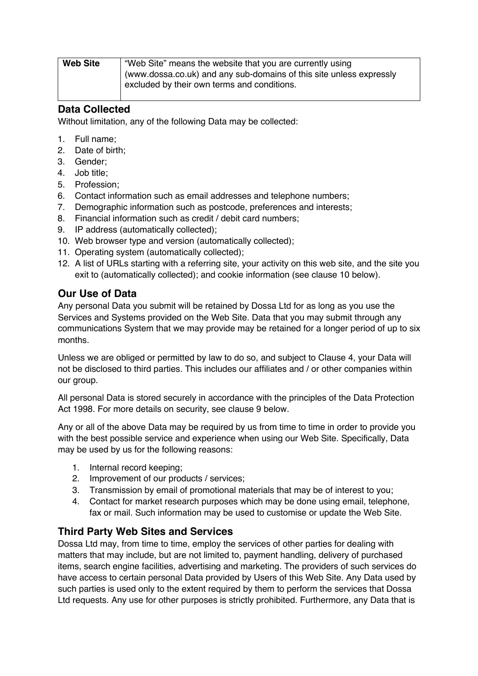| <b>Web Site</b> | "Web Site" means the website that you are currently using           |  |  |
|-----------------|---------------------------------------------------------------------|--|--|
|                 | (www.dossa.co.uk) and any sub-domains of this site unless expressly |  |  |
|                 | excluded by their own terms and conditions.                         |  |  |

#### **Data Collected**

Without limitation, any of the following Data may be collected:

- 1. Full name;
- 2. Date of birth;
- 3. Gender;
- 4. Job title;
- 5. Profession;
- 6. Contact information such as email addresses and telephone numbers;
- 7. Demographic information such as postcode, preferences and interests;
- 8. Financial information such as credit / debit card numbers;
- 9. IP address (automatically collected);
- 10. Web browser type and version (automatically collected);
- 11. Operating system (automatically collected);
- 12. A list of URLs starting with a referring site, your activity on this web site, and the site you exit to (automatically collected); and cookie information (see clause 10 below).

### **Our Use of Data**

Any personal Data you submit will be retained by Dossa Ltd for as long as you use the Services and Systems provided on the Web Site. Data that you may submit through any communications System that we may provide may be retained for a longer period of up to six months.

Unless we are obliged or permitted by law to do so, and subject to Clause 4, your Data will not be disclosed to third parties. This includes our affiliates and / or other companies within our group.

All personal Data is stored securely in accordance with the principles of the Data Protection Act 1998. For more details on security, see clause 9 below.

Any or all of the above Data may be required by us from time to time in order to provide you with the best possible service and experience when using our Web Site. Specifically, Data may be used by us for the following reasons:

- 1. Internal record keeping;
- 2. Improvement of our products / services;
- 3. Transmission by email of promotional materials that may be of interest to you;
- 4. Contact for market research purposes which may be done using email, telephone, fax or mail. Such information may be used to customise or update the Web Site.

## **Third Party Web Sites and Services**

Dossa Ltd may, from time to time, employ the services of other parties for dealing with matters that may include, but are not limited to, payment handling, delivery of purchased items, search engine facilities, advertising and marketing. The providers of such services do have access to certain personal Data provided by Users of this Web Site. Any Data used by such parties is used only to the extent required by them to perform the services that Dossa Ltd requests. Any use for other purposes is strictly prohibited. Furthermore, any Data that is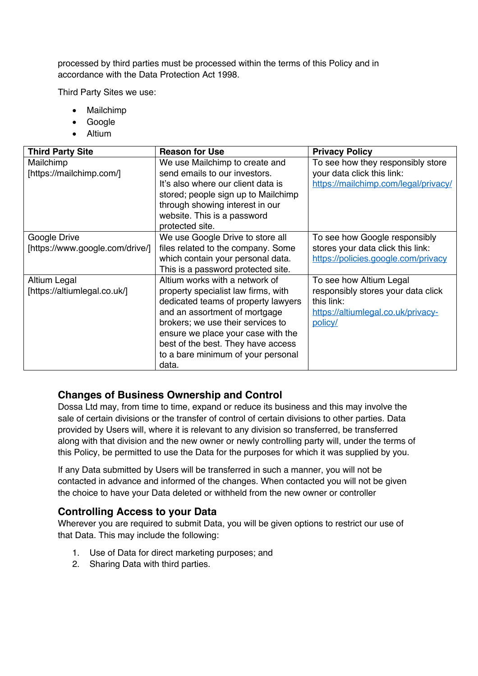processed by third parties must be processed within the terms of this Policy and in accordance with the Data Protection Act 1998.

Third Party Sites we use:

- Mailchimp
- Google
- Altium

| <b>Third Party Site</b>         | <b>Reason for Use</b>               | <b>Privacy Policy</b>                |
|---------------------------------|-------------------------------------|--------------------------------------|
| Mailchimp                       | We use Mailchimp to create and      | To see how they responsibly store    |
| [https://mailchimp.com/]        | send emails to our investors.       | your data click this link:           |
|                                 | It's also where our client data is  | https://mailchimp.com/legal/privacy/ |
|                                 | stored; people sign up to Mailchimp |                                      |
|                                 | through showing interest in our     |                                      |
|                                 | website. This is a password         |                                      |
|                                 | protected site.                     |                                      |
| Google Drive                    | We use Google Drive to store all    | To see how Google responsibly        |
| [https://www.google.com/drive/] | files related to the company. Some  | stores your data click this link:    |
|                                 | which contain your personal data.   | https://policies.google.com/privacy  |
|                                 | This is a password protected site.  |                                      |
| Altium Legal                    | Altium works with a network of      | To see how Altium Legal              |
| [https://altiumlegal.co.uk/]    | property specialist law firms, with | responsibly stores your data click   |
|                                 | dedicated teams of property lawyers | this link:                           |
|                                 | and an assortment of mortgage       | https://altiumlegal.co.uk/privacy-   |
|                                 | brokers; we use their services to   | policy/                              |
|                                 | ensure we place your case with the  |                                      |
|                                 | best of the best. They have access  |                                      |
|                                 | to a bare minimum of your personal  |                                      |
|                                 | data.                               |                                      |

#### **Changes of Business Ownership and Control**

Dossa Ltd may, from time to time, expand or reduce its business and this may involve the sale of certain divisions or the transfer of control of certain divisions to other parties. Data provided by Users will, where it is relevant to any division so transferred, be transferred along with that division and the new owner or newly controlling party will, under the terms of this Policy, be permitted to use the Data for the purposes for which it was supplied by you.

If any Data submitted by Users will be transferred in such a manner, you will not be contacted in advance and informed of the changes. When contacted you will not be given the choice to have your Data deleted or withheld from the new owner or controller

#### **Controlling Access to your Data**

Wherever you are required to submit Data, you will be given options to restrict our use of that Data. This may include the following:

- 1. Use of Data for direct marketing purposes; and
- 2. Sharing Data with third parties.